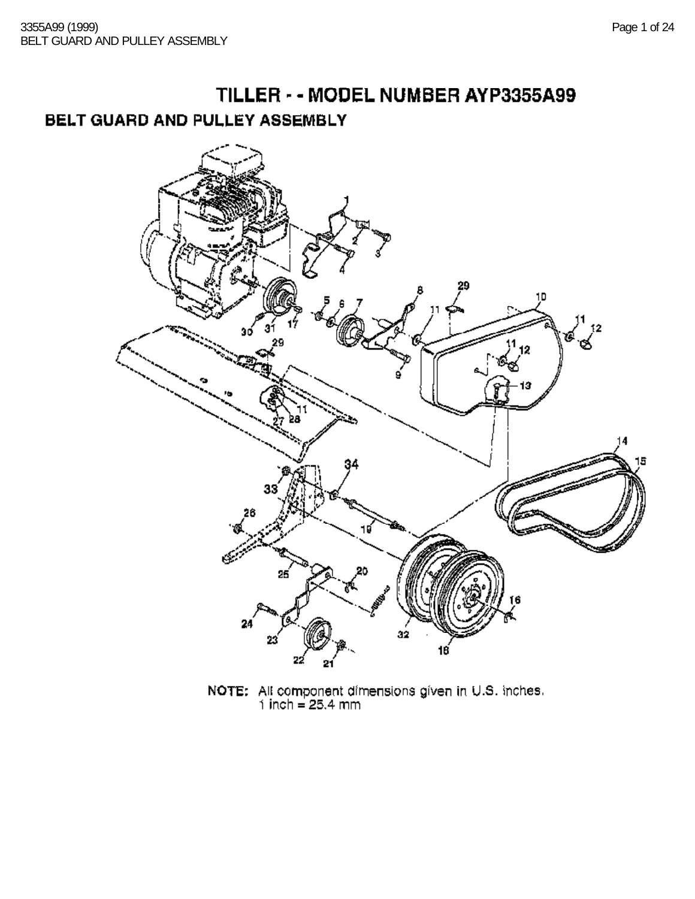# TILLER - - MODEL NUMBER AYP3355A99 BELT GUARD AND PULLEY ASSEMBLY



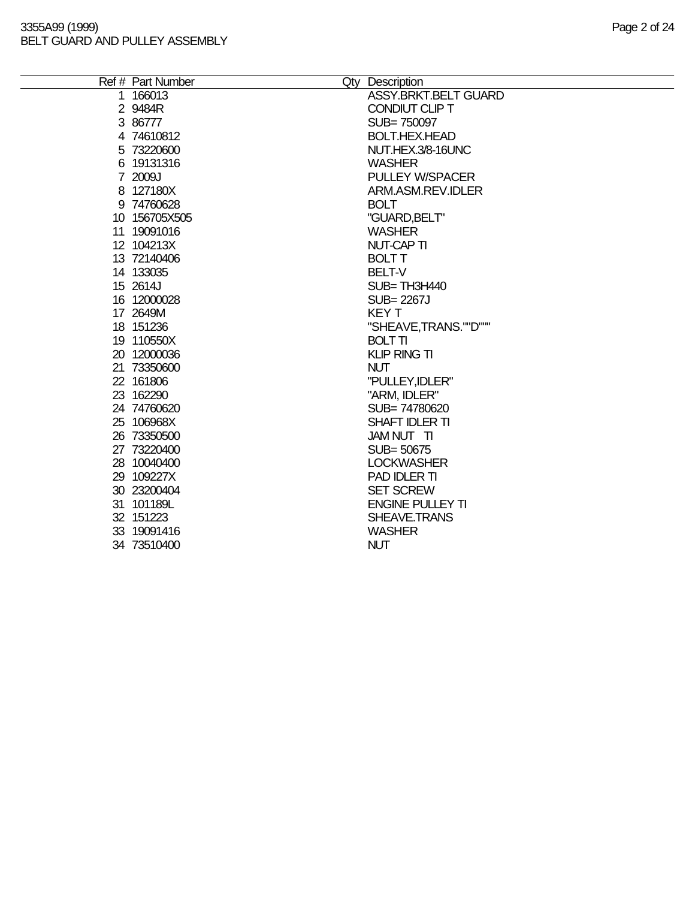#### 3355A99 (1999) Page 2 of 24 BELT GUARD AND PULLEY ASSEMBLY

 $\equiv$ 

| Ref # Part Number | Qty Description             |
|-------------------|-----------------------------|
| 1 166013          | <b>ASSY.BRKT.BELT GUARD</b> |
| 2 9484R           | CONDIUT CLIP T              |
| 3 86777           | SUB=750097                  |
| 4 74610812        | <b>BOLT.HEX.HEAD</b>        |
| 5 73220600        | NUT.HEX.3/8-16UNC           |
| 6 19131316        | <b>WASHER</b>               |
| 7 2009J           | <b>PULLEY W/SPACER</b>      |
| 8 127180X         | ARM.ASM.REV.IDLER           |
| 9 74760628        | <b>BOLT</b>                 |
| 10 156705X505     | "GUARD, BELT"               |
| 11 19091016       | <b>WASHER</b>               |
| 12 104213X        | <b>NUT-CAP TI</b>           |
| 13 72140406       | <b>BOLT T</b>               |
| 14 133035         | BELT-V                      |
| 15 2614J          | SUB=TH3H440                 |
| 16 12000028       | <b>SUB=2267J</b>            |
| 17 2649M          | <b>KEYT</b>                 |
| 18 151236         | "SHEAVE, TRANS.""D"""       |
| 19 110550X        | <b>BOLT TI</b>              |
| 20 12000036       | <b>KLIP RING TI</b>         |
| 21 73350600       | <b>NUT</b>                  |
| 22 161806         | "PULLEY, IDLER"             |
| 23 162290         | "ARM, IDLER"                |
| 24 74760620       | SUB=74780620                |
| 25 106968X        | SHAFT IDLER TI              |
| 26 73350500       | JAM NUT TI                  |
| 27 73220400       | SUB=50675                   |
| 28 10040400       | <b>LOCKWASHER</b>           |
| 29 109227X        | PAD IDLER TI                |
| 30 23200404       | <b>SET SCREW</b>            |
| 31 101189L        | <b>ENGINE PULLEY TI</b>     |
| 32 151223         | SHEAVE.TRANS                |
| 33 19091416       | <b>WASHER</b>               |
| 34 73510400       | <b>NUT</b>                  |
|                   |                             |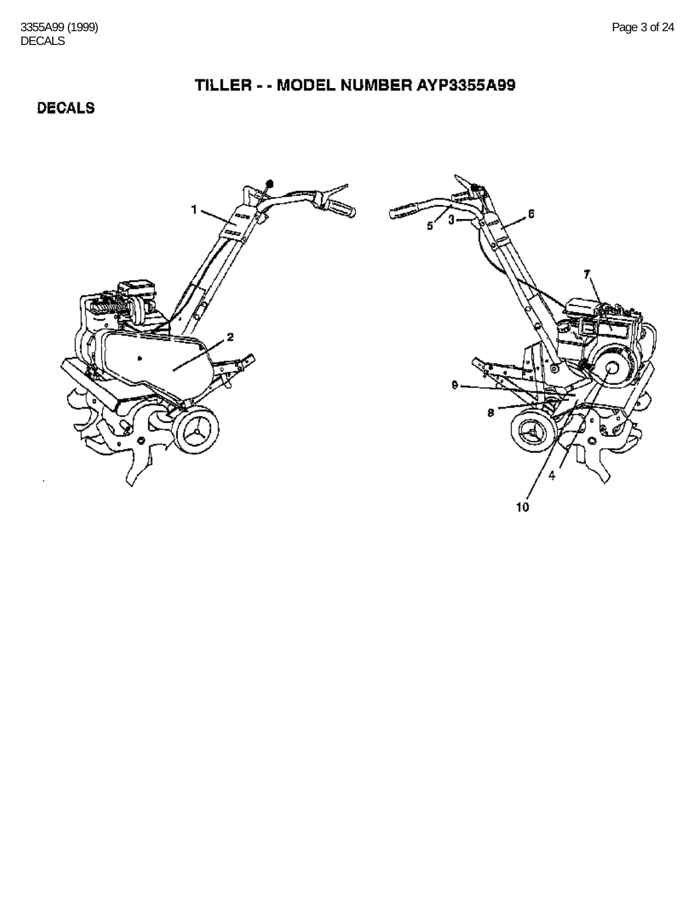## TILLER - - MODEL NUMBER AYP3355A99

**DECALS** 

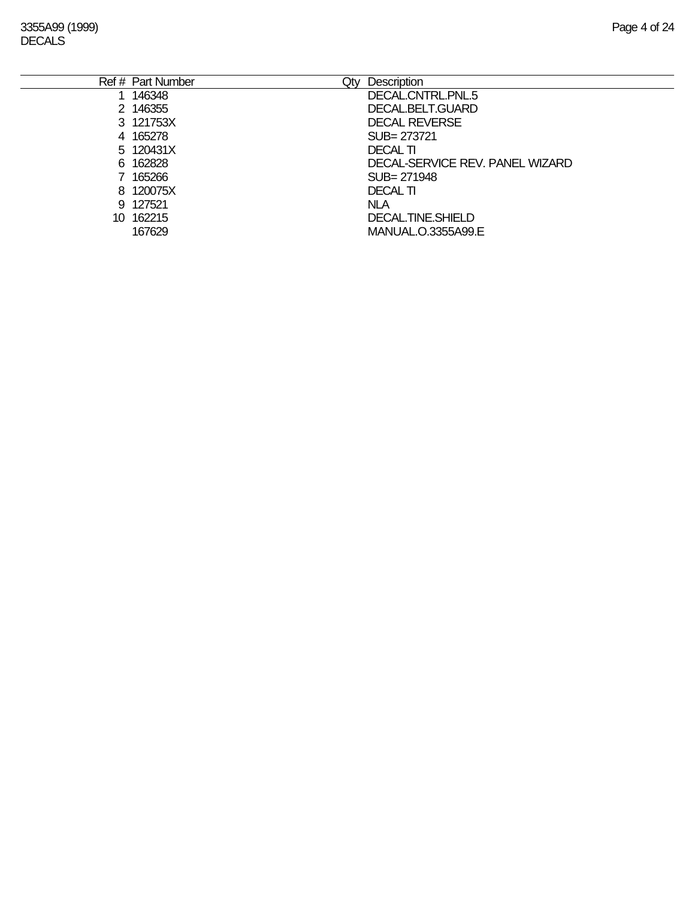| Ref # Part Number<br>Qtv | <b>Description</b>              |
|--------------------------|---------------------------------|
| 146348                   | DECAL.CNTRL.PNL.5               |
| 2 146355                 | DECAL.BELT.GUARD                |
| 3 121753X                | <b>DECAL REVERSE</b>            |
| 4 165278                 | SUB= 273721                     |
| 5 120431X                | <b>DECAL TI</b>                 |
| 6 162828                 | DECAL-SERVICE REV. PANEL WIZARD |
| 165266                   | SUB= 271948                     |
| 8 120075X                | <b>DECAL TI</b>                 |
| 9 127521                 | <b>NLA</b>                      |
| 10 162215                | DECAL TINE SHIELD               |
| 167629                   | MANUAL.O.3355A99.E              |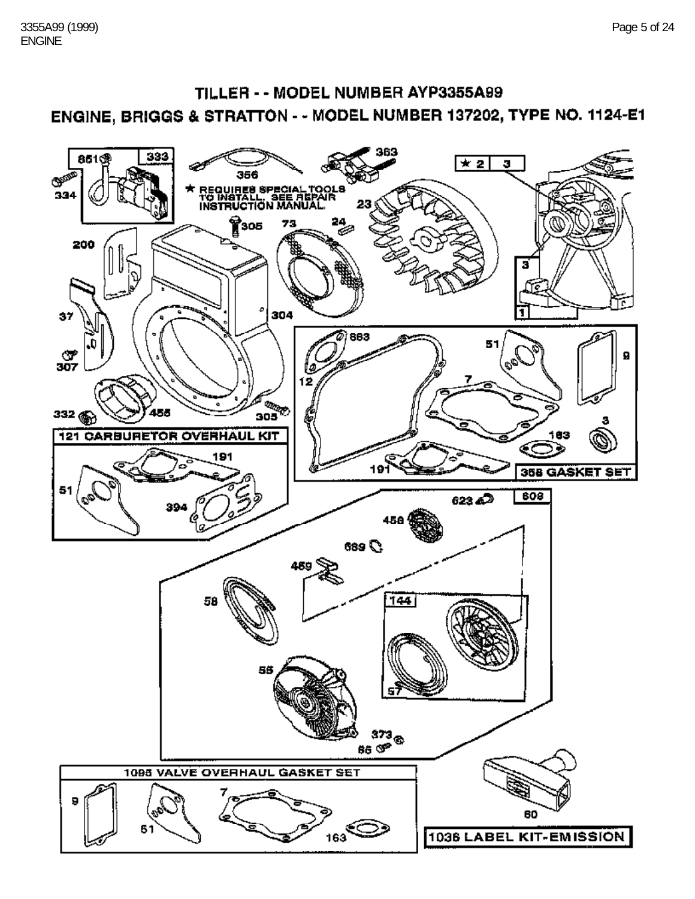## TILLER - - MODEL NUMBER AYP3355A99 ENGINE, BRIGGS & STRATTON - - MODEL NUMBER 137202, TYPE NO. 1124-E1

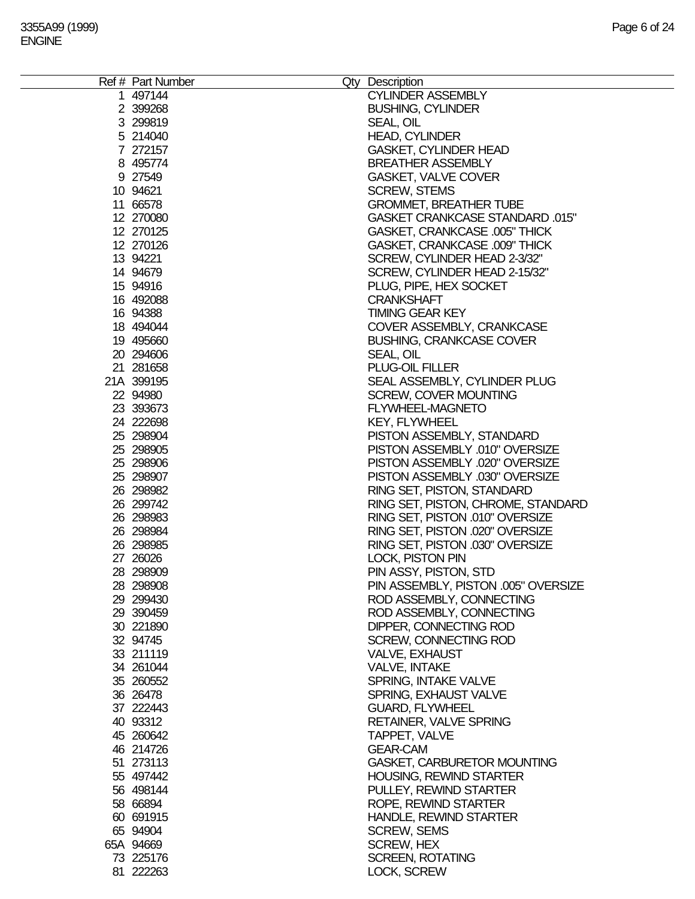| Ref # Part Number | Qty Description                      |
|-------------------|--------------------------------------|
| 1 497144          | <b>CYLINDER ASSEMBLY</b>             |
| 2 399268          | <b>BUSHING, CYLINDER</b>             |
| 3 299819          | SEAL, OIL                            |
| 5 214040          | <b>HEAD, CYLINDER</b>                |
|                   |                                      |
| 7 272157          | <b>GASKET, CYLINDER HEAD</b>         |
| 8 495774          | <b>BREATHER ASSEMBLY</b>             |
| 9 27549           | <b>GASKET, VALVE COVER</b>           |
| 10 94621          | <b>SCREW, STEMS</b>                  |
| 11 66578          | <b>GROMMET, BREATHER TUBE</b>        |
| 12 270080         | GASKET CRANKCASE STANDARD .015"      |
| 12 270125         | <b>GASKET, CRANKCASE .005" THICK</b> |
| 12 270126         | GASKET, CRANKCASE .009" THICK        |
|                   |                                      |
| 13 94221          | SCREW, CYLINDER HEAD 2-3/32"         |
| 14 94679          | SCREW, CYLINDER HEAD 2-15/32"        |
| 15 94916          | PLUG, PIPE, HEX SOCKET               |
| 16 492088         | <b>CRANKSHAFT</b>                    |
| 16 94388          | <b>TIMING GEAR KEY</b>               |
| 18 494044         | COVER ASSEMBLY, CRANKCASE            |
| 19 495660         | <b>BUSHING, CRANKCASE COVER</b>      |
| 20 294606         | SEAL, OIL                            |
|                   |                                      |
| 21 281658         | PLUG-OIL FILLER                      |
| 21A 399195        | SEAL ASSEMBLY, CYLINDER PLUG         |
| 22 94980          | <b>SCREW, COVER MOUNTING</b>         |
| 23 393673         | FLYWHEEL-MAGNETO                     |
| 24 222698         | <b>KEY, FLYWHEEL</b>                 |
| 25 298904         | PISTON ASSEMBLY, STANDARD            |
| 25 298905         | PISTON ASSEMBLY .010" OVERSIZE       |
| 25 298906         | PISTON ASSEMBLY .020" OVERSIZE       |
| 25 298907         | PISTON ASSEMBLY .030" OVERSIZE       |
|                   |                                      |
| 26 298982         | RING SET, PISTON, STANDARD           |
| 26 299742         | RING SET, PISTON, CHROME, STANDARD   |
| 26 298983         | RING SET, PISTON .010" OVERSIZE      |
| 26 298984         | RING SET, PISTON .020" OVERSIZE      |
| 26 298985         | RING SET, PISTON .030" OVERSIZE      |
| 27 26026          | <b>LOCK, PISTON PIN</b>              |
| 28 298909         | PIN ASSY, PISTON, STD                |
| 28 298908         | PIN ASSEMBLY, PISTON .005" OVERSIZE  |
| 29 299430         |                                      |
|                   | ROD ASSEMBLY, CONNECTING             |
| 29 390459         | ROD ASSEMBLY, CONNECTING             |
| 30 221890         | DIPPER, CONNECTING ROD               |
| 32 94745          | <b>SCREW, CONNECTING ROD</b>         |
| 33 211119         | VALVE, EXHAUST                       |
| 34 261044         | <b>VALVE, INTAKE</b>                 |
| 35 260552         | <b>SPRING, INTAKE VALVE</b>          |
| 36 26478          | SPRING, EXHAUST VALVE                |
| 37 222443         | <b>GUARD, FLYWHEEL</b>               |
|                   |                                      |
| 40 93312          | <b>RETAINER, VALVE SPRING</b>        |
| 45 260642         | TAPPET, VALVE                        |
| 46 214726         | <b>GEAR-CAM</b>                      |
| 51 273113         | <b>GASKET, CARBURETOR MOUNTING</b>   |
| 55 497442         | <b>HOUSING, REWIND STARTER</b>       |
| 56 498144         | PULLEY, REWIND STARTER               |
| 58 66894          | ROPE, REWIND STARTER                 |
| 60 691915         | <b>HANDLE, REWIND STARTER</b>        |
|                   |                                      |
| 65 94904          | <b>SCREW, SEMS</b>                   |
| 65A 94669         | <b>SCREW, HEX</b>                    |
| 73 225176         | <b>SCREEN, ROTATING</b>              |
| 81 222263         | LOCK, SCREW                          |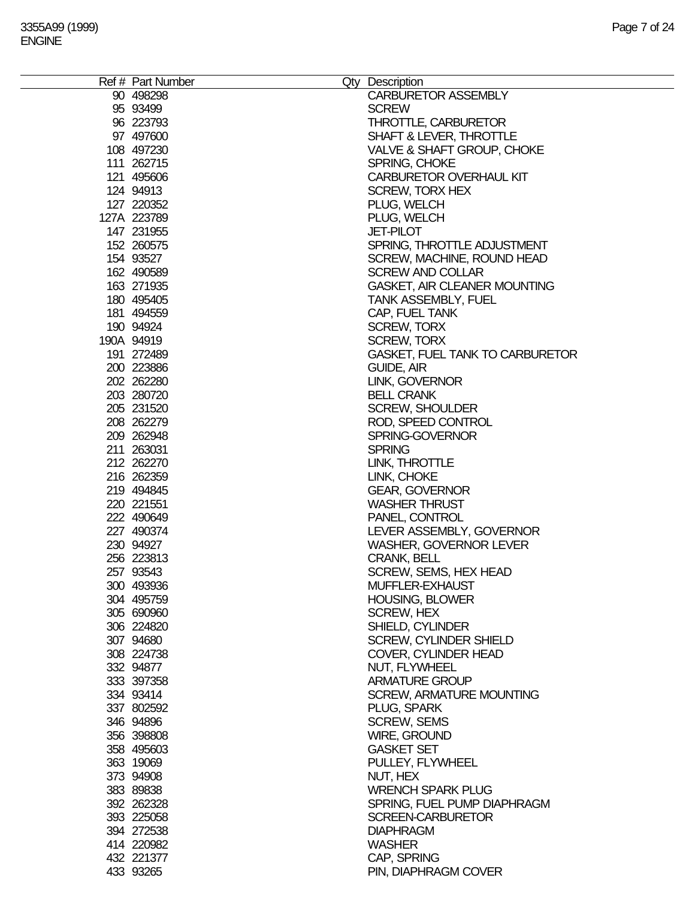| Ref # Part Number | Qty Description                        |
|-------------------|----------------------------------------|
| 90 498298         | <b>CARBURETOR ASSEMBLY</b>             |
| 95 93499          | <b>SCREW</b>                           |
| 96 223793         | <b>THROTTLE, CARBURETOR</b>            |
| 97 497600         | SHAFT & LEVER, THROTTLE                |
| 108 497230        | VALVE & SHAFT GROUP, CHOKE             |
| 111 262715        | SPRING, CHOKE                          |
| 121 495606        | CARBURETOR OVERHAUL KIT                |
| 124 94913         | <b>SCREW, TORX HEX</b>                 |
| 127 220352        | PLUG, WELCH                            |
| 127A 223789       | PLUG, WELCH                            |
| 147 231955        | <b>JET-PILOT</b>                       |
| 152 260575        |                                        |
|                   | SPRING, THROTTLE ADJUSTMENT            |
| 154 93527         | SCREW, MACHINE, ROUND HEAD             |
| 162 490589        | <b>SCREW AND COLLAR</b>                |
| 163 271935        | GASKET, AIR CLEANER MOUNTING           |
| 180 495405        | <b>TANK ASSEMBLY, FUEL</b>             |
| 181 494559        | CAP, FUEL TANK                         |
| 190 94924         | <b>SCREW, TORX</b>                     |
| 190A 94919        | <b>SCREW, TORX</b>                     |
| 191 272489        | <b>GASKET, FUEL TANK TO CARBURETOR</b> |
| 200 223886        | GUIDE, AIR                             |
| 202 262280        | LINK, GOVERNOR                         |
| 203 280720        | <b>BELL CRANK</b>                      |
| 205 231520        | <b>SCREW, SHOULDER</b>                 |
| 208 262279        | ROD, SPEED CONTROL                     |
| 209 262948        | SPRING-GOVERNOR                        |
| 211 263031        | <b>SPRING</b>                          |
| 212 262270        | LINK, THROTTLE                         |
| 216 262359        | LINK, CHOKE                            |
| 219 494845        | <b>GEAR, GOVERNOR</b>                  |
| 220 221551        | <b>WASHER THRUST</b>                   |
| 222 490649        | PANEL, CONTROL                         |
| 227 490374        |                                        |
|                   | LEVER ASSEMBLY, GOVERNOR               |
| 230 94927         | <b>WASHER, GOVERNOR LEVER</b>          |
| 256 223813        | <b>CRANK, BELL</b>                     |
| 257 93543         | SCREW, SEMS, HEX HEAD                  |
| 300 493936        | MUFFLER-EXHAUST                        |
| 304 495759        | <b>HOUSING, BLOWER</b>                 |
| 305 690960        | <b>SCREW, HEX</b>                      |
| 306 224820        | SHIELD, CYLINDER                       |
| 307 94680         | <b>SCREW, CYLINDER SHIELD</b>          |
| 308 224738        | <b>COVER, CYLINDER HEAD</b>            |
| 332 94877         | NUT, FLYWHEEL                          |
| 333 397358        | <b>ARMATURE GROUP</b>                  |
| 334 93414         | <b>SCREW, ARMATURE MOUNTING</b>        |
| 337 802592        | PLUG, SPARK                            |
| 346 94896         | <b>SCREW, SEMS</b>                     |
| 356 398808        | <b>WIRE, GROUND</b>                    |
| 358 495603        | <b>GASKET SET</b>                      |
| 363 19069         | PULLEY, FLYWHEEL                       |
| 373 94908         | NUT, HEX                               |
| 383 89838         | <b>WRENCH SPARK PLUG</b>               |
| 392 262328        | SPRING, FUEL PUMP DIAPHRAGM            |
| 393 225058        | <b>SCREEN-CARBURETOR</b>               |
| 394 272538        | <b>DIAPHRAGM</b>                       |
| 414 220982        | <b>WASHER</b>                          |
| 432 221377        | CAP, SPRING                            |
|                   |                                        |
| 433 93265         | PIN, DIAPHRAGM COVER                   |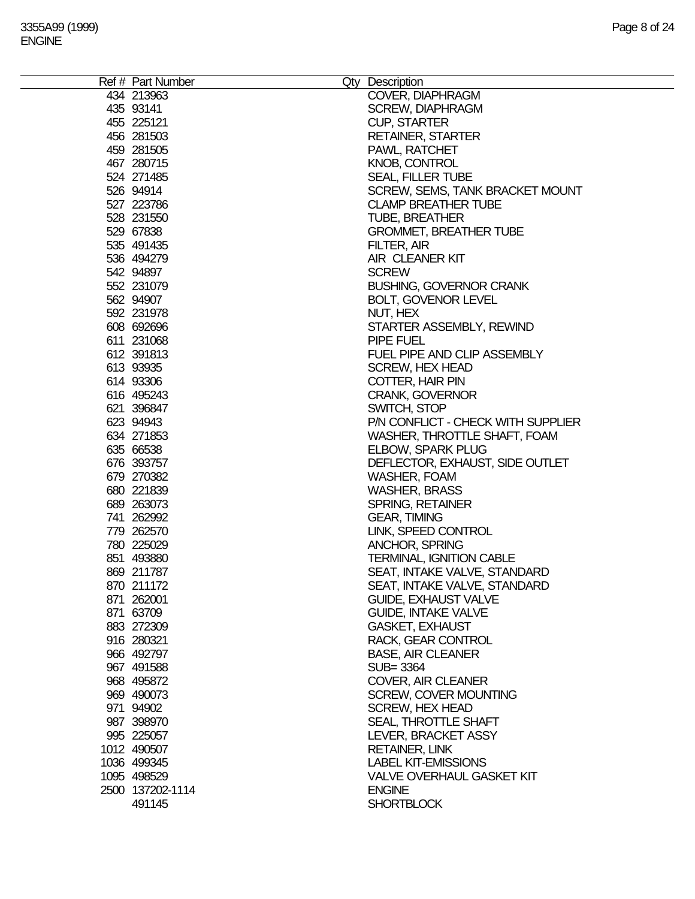| Ref # Part Number | Qty Description                    |
|-------------------|------------------------------------|
| 434 213963        | COVER, DIAPHRAGM                   |
| 435 93141         | <b>SCREW, DIAPHRAGM</b>            |
| 455 225121        | <b>CUP, STARTER</b>                |
| 456 281503        | <b>RETAINER, STARTER</b>           |
| 459 281505        | PAWL, RATCHET                      |
| 467 280715        | <b>KNOB, CONTROL</b>               |
| 524 271485        | <b>SEAL, FILLER TUBE</b>           |
| 526 94914         | SCREW, SEMS, TANK BRACKET MOUNT    |
| 527 223786        | <b>CLAMP BREATHER TUBE</b>         |
| 528 231550        | <b>TUBE, BREATHER</b>              |
| 529 67838         |                                    |
|                   | <b>GROMMET, BREATHER TUBE</b>      |
| 535 491435        | FILTER, AIR                        |
| 536 494279        | AIR CLEANER KIT                    |
| 542 94897         | <b>SCREW</b>                       |
| 552 231079        | <b>BUSHING, GOVERNOR CRANK</b>     |
| 562 94907         | <b>BOLT, GOVENOR LEVEL</b>         |
| 592 231978        | NUT, HEX                           |
| 608 692696        | STARTER ASSEMBLY, REWIND           |
| 611 231068        | PIPE FUEL                          |
| 612 391813        | FUEL PIPE AND CLIP ASSEMBLY        |
| 613 93935         | <b>SCREW, HEX HEAD</b>             |
| 614 93306         | <b>COTTER, HAIR PIN</b>            |
| 616 495243        | <b>CRANK, GOVERNOR</b>             |
| 621 396847        | SWITCH, STOP                       |
| 623 94943         | P/N CONFLICT - CHECK WITH SUPPLIER |
| 634 271853        | WASHER, THROTTLE SHAFT, FOAM       |
| 635 66538         | <b>ELBOW, SPARK PLUG</b>           |
| 676 393757        | DEFLECTOR, EXHAUST, SIDE OUTLET    |
| 679 270382        | WASHER, FOAM                       |
| 680 221839        | <b>WASHER, BRASS</b>               |
| 689 263073        | <b>SPRING, RETAINER</b>            |
| 741 262992        | <b>GEAR, TIMING</b>                |
| 779 262570        |                                    |
|                   | LINK, SPEED CONTROL                |
| 780 225029        | <b>ANCHOR, SPRING</b>              |
| 851 493880        | <b>TERMINAL, IGNITION CABLE</b>    |
| 869 211787        | SEAT, INTAKE VALVE, STANDARD       |
| 870 211172        | SEAT, INTAKE VALVE, STANDARD       |
| 871 262001        | <b>GUIDE, EXHAUST VALVE</b>        |
| 871 63709         | <b>GUIDE, INTAKE VALVE</b>         |
| 883 272309        | <b>GASKET, EXHAUST</b>             |
| 916 280321        | RACK, GEAR CONTROL                 |
| 966 492797        | <b>BASE, AIR CLEANER</b>           |
| 967 491588        | SUB= 3364                          |
| 968 495872        | COVER, AIR CLEANER                 |
| 969 490073        | <b>SCREW, COVER MOUNTING</b>       |
| 971 94902         | <b>SCREW, HEX HEAD</b>             |
| 987 398970        | <b>SEAL, THROTTLE SHAFT</b>        |
| 995 225057        | LEVER, BRACKET ASSY                |
| 1012 490507       | <b>RETAINER, LINK</b>              |
| 1036 499345       | <b>LABEL KIT-EMISSIONS</b>         |
| 1095 498529       | <b>VALVE OVERHAUL GASKET KIT</b>   |
| 2500 137202-1114  | <b>ENGINE</b>                      |
|                   |                                    |
| 491145            | <b>SHORTBLOCK</b>                  |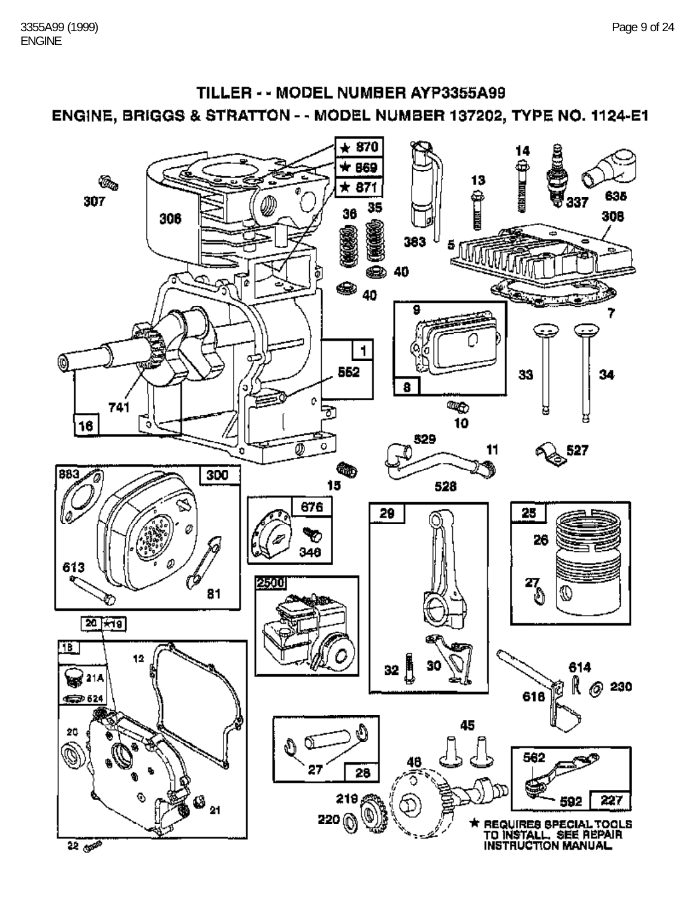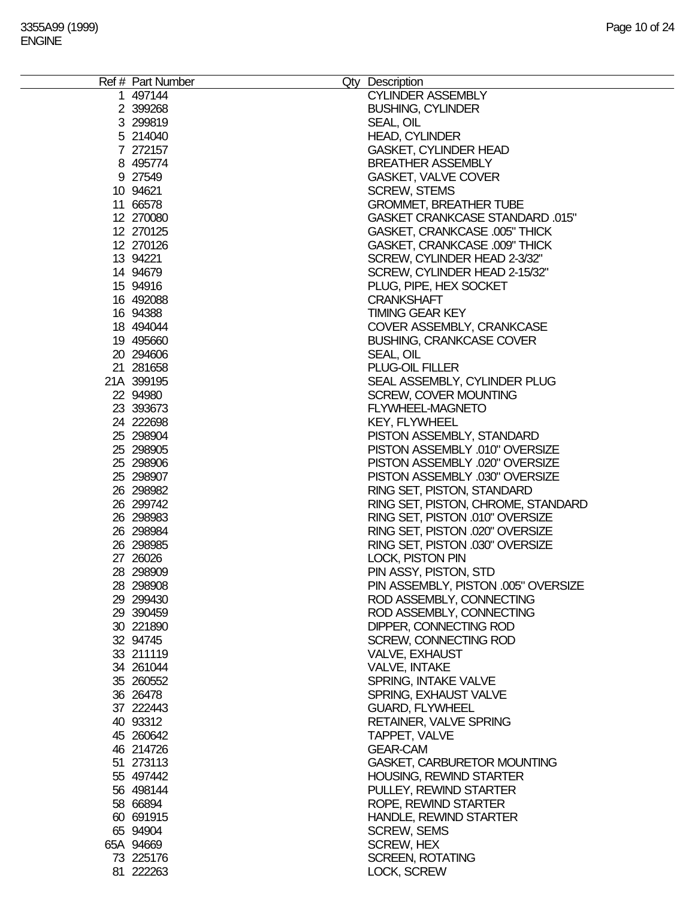| Ref # Part Number<br>1 497144 | Qty Description<br><b>CYLINDER ASSEMBLY</b>                  |
|-------------------------------|--------------------------------------------------------------|
| 2 399268                      | <b>BUSHING, CYLINDER</b>                                     |
| 3 299819                      | SEAL, OIL                                                    |
| 5 214040<br>7 272157          | <b>HEAD, CYLINDER</b><br><b>GASKET, CYLINDER HEAD</b>        |
| 8 495774                      | <b>BREATHER ASSEMBLY</b>                                     |
| 9 27549                       | <b>GASKET, VALVE COVER</b>                                   |
| 10 94621                      | <b>SCREW, STEMS</b>                                          |
| 11 66578                      | <b>GROMMET, BREATHER TUBE</b>                                |
| 12 270080                     | <b>GASKET CRANKCASE STANDARD .015"</b>                       |
| 12 270125                     | <b>GASKET, CRANKCASE .005" THICK</b>                         |
| 12 270126                     | GASKET, CRANKCASE .009" THICK                                |
| 13 94221                      | SCREW, CYLINDER HEAD 2-3/32"                                 |
| 14 94679                      | SCREW, CYLINDER HEAD 2-15/32"                                |
| 15 94916                      | PLUG, PIPE, HEX SOCKET                                       |
| 16 492088                     | <b>CRANKSHAFT</b>                                            |
| 16 94388                      | <b>TIMING GEAR KEY</b>                                       |
| 18 494044                     | COVER ASSEMBLY, CRANKCASE                                    |
| 19 495660                     | <b>BUSHING, CRANKCASE COVER</b>                              |
| 20 294606                     | SEAL, OIL                                                    |
| 21 281658<br>21A 399195       | PLUG-OIL FILLER                                              |
| 22 94980                      | SEAL ASSEMBLY, CYLINDER PLUG<br><b>SCREW, COVER MOUNTING</b> |
| 23 393673                     | <b>FLYWHEEL-MAGNETO</b>                                      |
| 24 222698                     | <b>KEY, FLYWHEEL</b>                                         |
| 25 298904                     | PISTON ASSEMBLY, STANDARD                                    |
| 25 298905                     | PISTON ASSEMBLY .010" OVERSIZE                               |
| 25 298906                     | PISTON ASSEMBLY .020" OVERSIZE                               |
| 25 298907                     | PISTON ASSEMBLY .030" OVERSIZE                               |
| 26 298982                     | RING SET, PISTON, STANDARD                                   |
| 26 299742                     | RING SET, PISTON, CHROME, STANDARD                           |
| 26 298983                     | RING SET, PISTON .010" OVERSIZE                              |
| 26 298984                     | RING SET, PISTON .020" OVERSIZE                              |
| 26 298985                     | RING SET, PISTON .030" OVERSIZE                              |
| 27 26026                      | LOCK, PISTON PIN                                             |
| 28 298909                     | PIN ASSY, PISTON, STD                                        |
| 28 298908                     | PIN ASSEMBLY, PISTON .005" OVERSIZE                          |
| 29 29 94 30                   | ROD ASSEMBLY, CONNECTING                                     |
| 29 390459                     | ROD ASSEMBLY, CONNECTING                                     |
| 30 221890<br>32 94745         | DIPPER, CONNECTING ROD<br>SCREW, CONNECTING ROD              |
| 33 211119                     | VALVE, EXHAUST                                               |
| 34 261044                     | <b>VALVE, INTAKE</b>                                         |
| 35 260552                     | SPRING, INTAKE VALVE                                         |
| 36 26478                      | SPRING, EXHAUST VALVE                                        |
| 37 222443                     | <b>GUARD, FLYWHEEL</b>                                       |
| 40 93312                      | <b>RETAINER, VALVE SPRING</b>                                |
| 45 260642                     | TAPPET, VALVE                                                |
| 46 214726                     | <b>GEAR-CAM</b>                                              |
| 51 273113                     | <b>GASKET, CARBURETOR MOUNTING</b>                           |
| 55 497442                     | HOUSING, REWIND STARTER                                      |
| 56 498144                     | PULLEY, REWIND STARTER                                       |
| 58 66894                      | ROPE, REWIND STARTER                                         |
| 60 691915                     | <b>HANDLE, REWIND STARTER</b>                                |
| 65 94904                      | <b>SCREW, SEMS</b>                                           |
| 65A 94669                     | <b>SCREW, HEX</b>                                            |
| 73 225176                     | <b>SCREEN, ROTATING</b>                                      |
| 81 222263                     | LOCK, SCREW                                                  |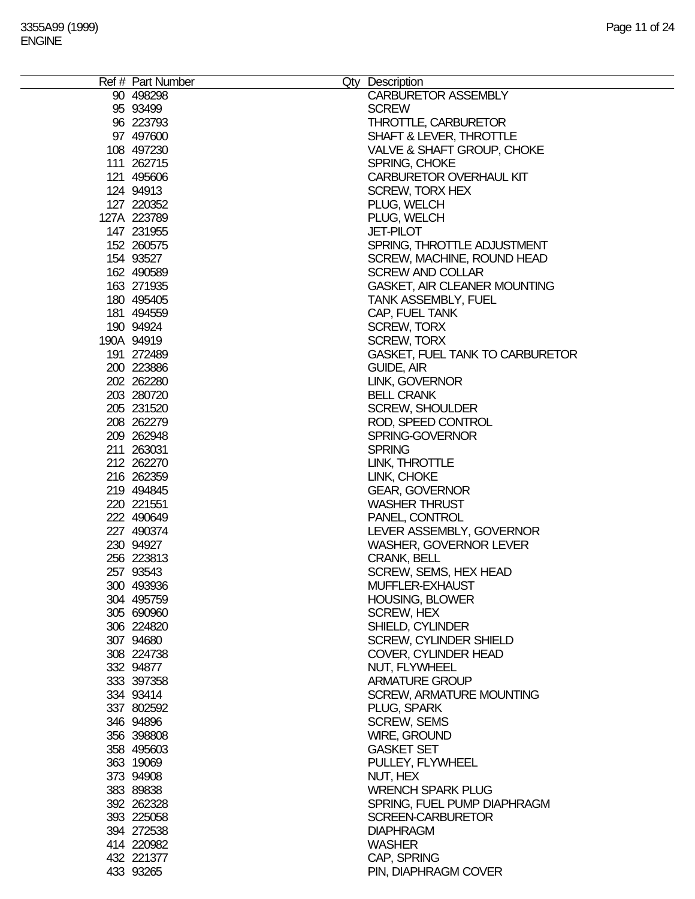| Ref # Part Number        | Qty Description                               |
|--------------------------|-----------------------------------------------|
| 90 498298                | <b>CARBURETOR ASSEMBLY</b>                    |
| 95 93499                 | <b>SCREW</b>                                  |
| 96 223793                | <b>THROTTLE, CARBURETOR</b>                   |
| 97 497600                | <b>SHAFT &amp; LEVER, THROTTLE</b>            |
| 108 497230               | <b>VALVE &amp; SHAFT GROUP, CHOKE</b>         |
| 111 262715               | SPRING, CHOKE                                 |
| 121 495606               | <b>CARBURETOR OVERHAUL KIT</b>                |
| 124 94913                | <b>SCREW, TORX HEX</b>                        |
| 127 220352               | PLUG, WELCH                                   |
| 127A 223789              | PLUG, WELCH                                   |
| 147 231955               | <b>JET-PILOT</b>                              |
| 152 260575               | SPRING, THROTTLE ADJUSTMENT                   |
| 154 93527                | SCREW, MACHINE, ROUND HEAD                    |
| 162 490589               | <b>SCREW AND COLLAR</b>                       |
| 163 271935               | <b>GASKET, AIR CLEANER MOUNTING</b>           |
| 180 495405               | <b>TANK ASSEMBLY, FUEL</b>                    |
| 181 494559               | CAP, FUEL TANK                                |
| 190 94924                | <b>SCREW, TORX</b>                            |
| 190A 94919               | <b>SCREW, TORX</b>                            |
| 191 272489               | <b>GASKET, FUEL TANK TO CARBURETOR</b>        |
| 200 223886               | GUIDE, AIR                                    |
| 202 262280               | LINK, GOVERNOR                                |
| 203 280720               | <b>BELL CRANK</b>                             |
| 205 231520               | <b>SCREW, SHOULDER</b>                        |
| 208 262279               |                                               |
|                          | ROD, SPEED CONTROL                            |
| 209 262948<br>211 263031 | SPRING-GOVERNOR                               |
|                          | <b>SPRING</b>                                 |
| 212 262270               | LINK, THROTTLE                                |
| 216 262359               | LINK, CHOKE                                   |
| 219 494845<br>220 221551 | <b>GEAR, GOVERNOR</b><br><b>WASHER THRUST</b> |
| 222 490649               | PANEL, CONTROL                                |
| 227 490374               | LEVER ASSEMBLY, GOVERNOR                      |
| 230 94927                | <b>WASHER, GOVERNOR LEVER</b>                 |
| 256 223813               | <b>CRANK, BELL</b>                            |
| 257 93543                | SCREW, SEMS, HEX HEAD                         |
| 300 493936               | MUFFLER-EXHAUST                               |
| 304 495759               | <b>HOUSING, BLOWER</b>                        |
| 305 690960               | <b>SCREW, HEX</b>                             |
| 306 224820               | SHIELD, CYLINDER                              |
| 307 94680                | <b>SCREW, CYLINDER SHIELD</b>                 |
| 308 224738               | COVER, CYLINDER HEAD                          |
| 332 94877                | NUT, FLYWHEEL                                 |
| 333 397358               | <b>ARMATURE GROUP</b>                         |
| 334 93414                | <b>SCREW, ARMATURE MOUNTING</b>               |
| 337 802592               | PLUG, SPARK                                   |
| 346 94896                | <b>SCREW, SEMS</b>                            |
| 356 398808               | <b>WIRE, GROUND</b>                           |
| 358 495603               | <b>GASKET SET</b>                             |
| 363 19069                | PULLEY, FLYWHEEL                              |
| 373 94908                | NUT, HEX                                      |
| 383 89838                | <b>WRENCH SPARK PLUG</b>                      |
| 392 262328               | SPRING, FUEL PUMP DIAPHRAGM                   |
|                          |                                               |
| 393 225058               | <b>SCREEN-CARBURETOR</b>                      |
| 394 272538               | <b>DIAPHRAGM</b>                              |
| 414 220982               | <b>WASHER</b>                                 |
| 432 221377               | CAP, SPRING                                   |
| 433 93265                | PIN, DIAPHRAGM COVER                          |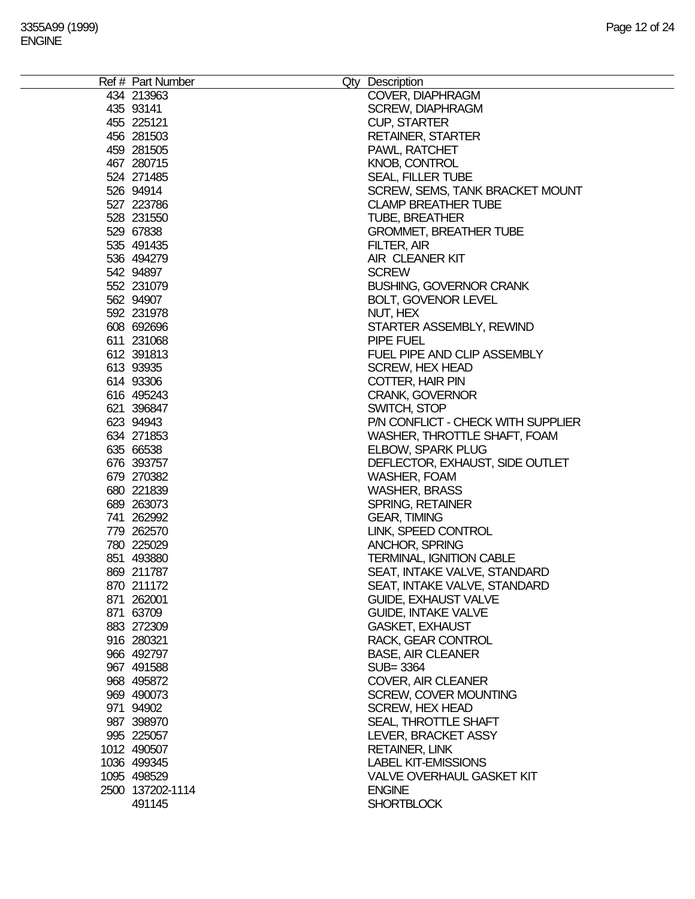| Ref # Part Number | Qty Description                    |
|-------------------|------------------------------------|
| 434 213963        | COVER, DIAPHRAGM                   |
| 435 93141         | <b>SCREW, DIAPHRAGM</b>            |
| 455 225121        | <b>CUP, STARTER</b>                |
| 456 281503        | <b>RETAINER, STARTER</b>           |
| 459 281505        | PAWL, RATCHET                      |
|                   |                                    |
| 467 280715        | <b>KNOB, CONTROL</b>               |
| 524 271485        | <b>SEAL, FILLER TUBE</b>           |
| 526 94914         | SCREW, SEMS, TANK BRACKET MOUNT    |
| 527 223786        | <b>CLAMP BREATHER TUBE</b>         |
| 528 231550        | <b>TUBE, BREATHER</b>              |
| 529 67838         | <b>GROMMET, BREATHER TUBE</b>      |
| 535 491435        | FILTER, AIR                        |
| 536 494279        | AIR CLEANER KIT                    |
| 542 94897         | <b>SCREW</b>                       |
| 552 231079        | <b>BUSHING, GOVERNOR CRANK</b>     |
| 562 94907         | <b>BOLT, GOVENOR LEVEL</b>         |
| 592 231978        | NUT, HEX                           |
| 608 692696        | STARTER ASSEMBLY, REWIND           |
| 611 231068        | PIPE FUEL                          |
| 612 391813        | FUEL PIPE AND CLIP ASSEMBLY        |
| 613 93935         | <b>SCREW, HEX HEAD</b>             |
| 614 93306         | COTTER, HAIR PIN                   |
| 616 495243        | <b>CRANK, GOVERNOR</b>             |
| 621 396847        | SWITCH, STOP                       |
| 623 94943         | P/N CONFLICT - CHECK WITH SUPPLIER |
| 634 271853        | WASHER, THROTTLE SHAFT, FOAM       |
| 635 66538         | ELBOW, SPARK PLUG                  |
| 676 393757        | DEFLECTOR, EXHAUST, SIDE OUTLET    |
| 679 270382        | WASHER, FOAM                       |
| 680 221839        | <b>WASHER, BRASS</b>               |
| 689 263073        | SPRING, RETAINER                   |
| 741 262992        | <b>GEAR, TIMING</b>                |
| 779 262570        | LINK, SPEED CONTROL                |
| 780 225029        | <b>ANCHOR, SPRING</b>              |
| 851 493880        | <b>TERMINAL, IGNITION CABLE</b>    |
| 869 211787        | SEAT, INTAKE VALVE, STANDARD       |
| 870 211172        | SEAT, INTAKE VALVE, STANDARD       |
| 871 262001        | <b>GUIDE, EXHAUST VALVE</b>        |
| 871 63709         | <b>GUIDE, INTAKE VALVE</b>         |
|                   |                                    |
| 883 272309        | <b>GASKET, EXHAUST</b>             |
| 916 280321        | RACK, GEAR CONTROL                 |
| 966 492797        | <b>BASE, AIR CLEANER</b>           |
| 967 491588        | SUB=3364                           |
| 968 495872        | <b>COVER, AIR CLEANER</b>          |
| 969 490073        | <b>SCREW, COVER MOUNTING</b>       |
| 971 94902         | <b>SCREW, HEX HEAD</b>             |
| 987 398970        | SEAL, THROTTLE SHAFT               |
| 995 225057        | LEVER, BRACKET ASSY                |
| 1012 490507       | <b>RETAINER, LINK</b>              |
| 1036 499345       | <b>LABEL KIT-EMISSIONS</b>         |
| 1095 498529       | <b>VALVE OVERHAUL GASKET KIT</b>   |
| 2500 137202-1114  | <b>ENGINE</b>                      |
| 491145            | <b>SHORTBLOCK</b>                  |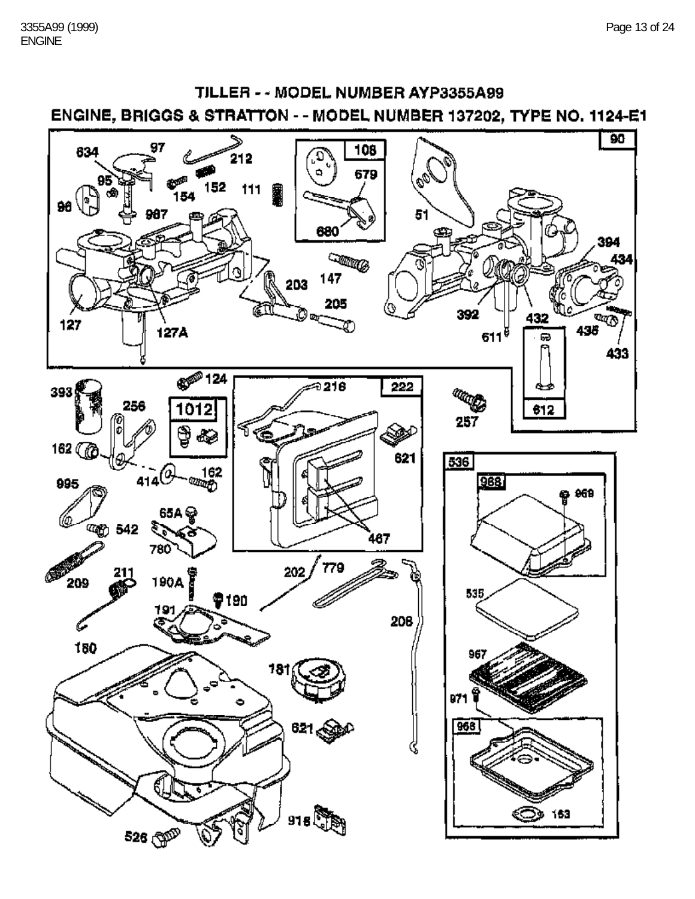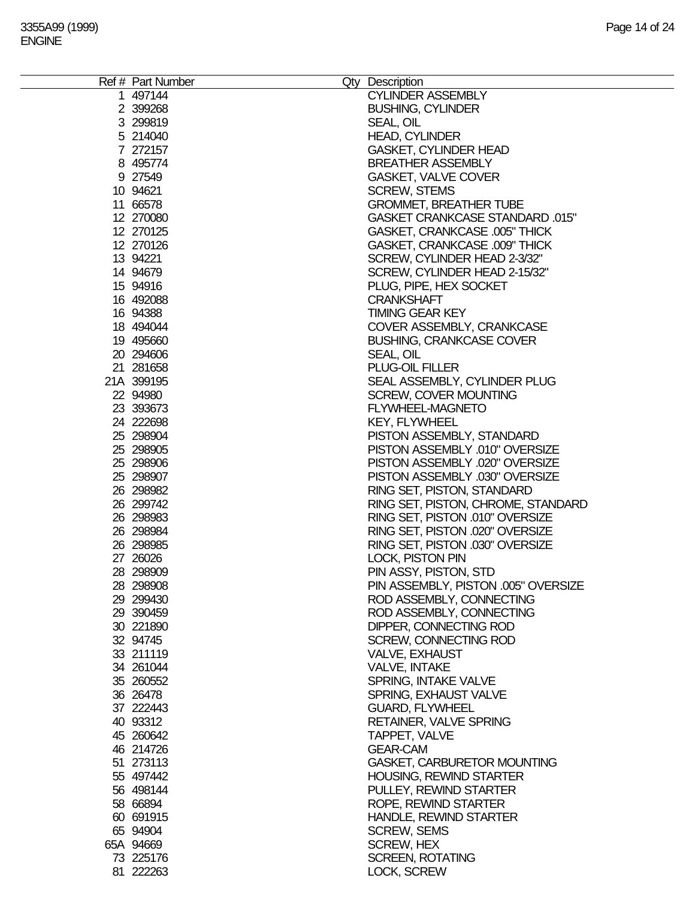| Ref # Part Number |                                      |
|-------------------|--------------------------------------|
|                   | Qty Description                      |
| 1 497144          | <b>CYLINDER ASSEMBLY</b>             |
| 2 399268          | <b>BUSHING, CYLINDER</b>             |
| 3 299819          | SEAL, OIL                            |
| 5 214040          | <b>HEAD, CYLINDER</b>                |
| 7 272157          | <b>GASKET, CYLINDER HEAD</b>         |
| 8 495774          | <b>BREATHER ASSEMBLY</b>             |
| 9 27549           | <b>GASKET, VALVE COVER</b>           |
| 10 94621          | <b>SCREW, STEMS</b>                  |
| 11 66578          | <b>GROMMET, BREATHER TUBE</b>        |
| 12 270080         | GASKET CRANKCASE STANDARD .015"      |
| 12 270125         | <b>GASKET, CRANKCASE .005" THICK</b> |
| 12 270126         | GASKET, CRANKCASE .009" THICK        |
| 13 94221          | SCREW, CYLINDER HEAD 2-3/32"         |
| 14 94679          | SCREW, CYLINDER HEAD 2-15/32"        |
| 15 94916          | PLUG, PIPE, HEX SOCKET               |
| 16 492088         | <b>CRANKSHAFT</b>                    |
| 16 94388          | <b>TIMING GEAR KEY</b>               |
| 18 494044         |                                      |
|                   | COVER ASSEMBLY, CRANKCASE            |
| 19 495660         | <b>BUSHING, CRANKCASE COVER</b>      |
| 20 294606         | SEAL, OIL                            |
| 21 281658         | PLUG-OIL FILLER                      |
| 21A 399195        | SEAL ASSEMBLY, CYLINDER PLUG         |
| 22 94980          | <b>SCREW, COVER MOUNTING</b>         |
| 23 393673         | FLYWHEEL-MAGNETO                     |
| 24 222698         | <b>KEY, FLYWHEEL</b>                 |
| 25 298904         | PISTON ASSEMBLY, STANDARD            |
| 25 298905         | PISTON ASSEMBLY .010" OVERSIZE       |
| 25 298906         | PISTON ASSEMBLY .020" OVERSIZE       |
| 25 298907         | PISTON ASSEMBLY .030" OVERSIZE       |
| 26 298982         | RING SET, PISTON, STANDARD           |
| 26 299742         | RING SET, PISTON, CHROME, STANDARD   |
| 26 298983         | RING SET, PISTON .010" OVERSIZE      |
| 26 298984         | RING SET, PISTON .020" OVERSIZE      |
| 26 298985         | RING SET, PISTON .030" OVERSIZE      |
| 27 26026          | <b>LOCK, PISTON PIN</b>              |
| 28 298909         | PIN ASSY, PISTON, STD                |
|                   | PIN ASSEMBLY, PISTON .005" OVERSIZE  |
| 28 298908         |                                      |
| 29 299430         | ROD ASSEMBLY, CONNECTING             |
| 29 390459         | ROD ASSEMBLY, CONNECTING             |
| 30 221890         | DIPPER, CONNECTING ROD               |
| 32 94745          | SCREW, CONNECTING ROD                |
| 33 211119         | VALVE, EXHAUST                       |
| 34 261044         | <b>VALVE, INTAKE</b>                 |
| 35 260552         | SPRING, INTAKE VALVE                 |
| 36 26478          | SPRING, EXHAUST VALVE                |
| 37 222443         | <b>GUARD, FLYWHEEL</b>               |
| 40 93312          | <b>RETAINER, VALVE SPRING</b>        |
| 45 260642         | TAPPET, VALVE                        |
| 46 214726         | <b>GEAR-CAM</b>                      |
| 51 273113         | <b>GASKET, CARBURETOR MOUNTING</b>   |
| 55 497442         | <b>HOUSING, REWIND STARTER</b>       |
| 56 498144         | PULLEY, REWIND STARTER               |
| 58 66894          | ROPE, REWIND STARTER                 |
| 60 691915         | <b>HANDLE, REWIND STARTER</b>        |
|                   |                                      |
| 65 94904          | <b>SCREW, SEMS</b>                   |
| 65A 94669         | <b>SCREW, HEX</b>                    |
| 73 225176         | <b>SCREEN, ROTATING</b>              |
| 81 222263         | LOCK, SCREW                          |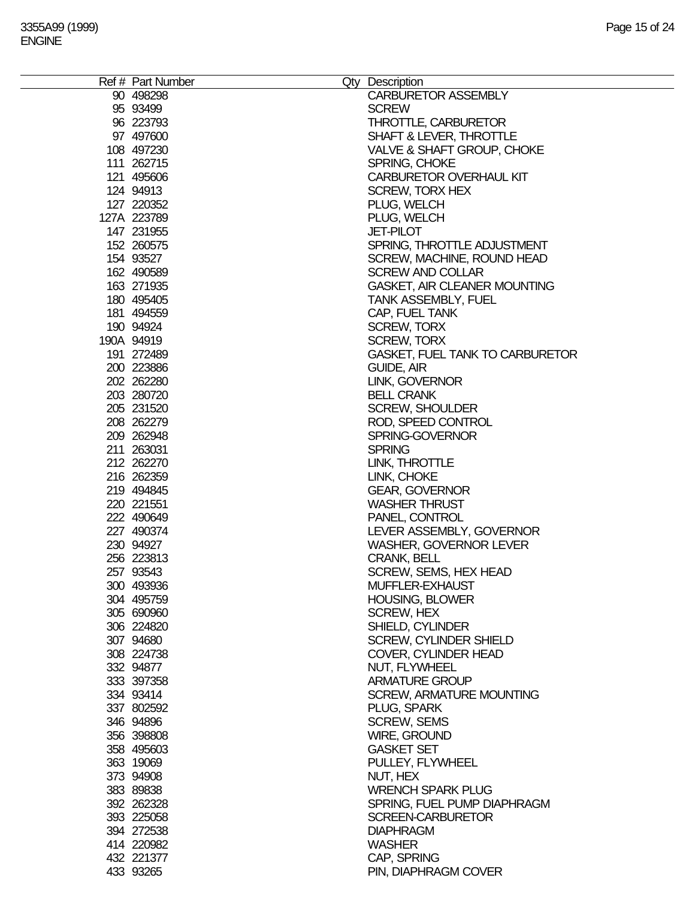| Ref # Part Number        | Qty Description                               |
|--------------------------|-----------------------------------------------|
| 90 498298                | <b>CARBURETOR ASSEMBLY</b>                    |
| 95 93499                 | <b>SCREW</b>                                  |
| 96 223793                | <b>THROTTLE, CARBURETOR</b>                   |
| 97 497600                | <b>SHAFT &amp; LEVER, THROTTLE</b>            |
| 108 497230               | <b>VALVE &amp; SHAFT GROUP, CHOKE</b>         |
| 111 262715               | SPRING, CHOKE                                 |
| 121 495606               | <b>CARBURETOR OVERHAUL KIT</b>                |
| 124 94913                | <b>SCREW, TORX HEX</b>                        |
| 127 220352               | PLUG, WELCH                                   |
| 127A 223789              | PLUG, WELCH                                   |
| 147 231955               | <b>JET-PILOT</b>                              |
| 152 260575               | SPRING, THROTTLE ADJUSTMENT                   |
| 154 93527                | SCREW, MACHINE, ROUND HEAD                    |
| 162 490589               | <b>SCREW AND COLLAR</b>                       |
| 163 271935               | <b>GASKET, AIR CLEANER MOUNTING</b>           |
| 180 495405               | <b>TANK ASSEMBLY, FUEL</b>                    |
| 181 494559               | CAP, FUEL TANK                                |
| 190 94924                | <b>SCREW, TORX</b>                            |
| 190A 94919               | <b>SCREW, TORX</b>                            |
| 191 272489               | <b>GASKET, FUEL TANK TO CARBURETOR</b>        |
| 200 223886               | GUIDE, AIR                                    |
| 202 262280               | LINK, GOVERNOR                                |
| 203 280720               | <b>BELL CRANK</b>                             |
| 205 231520               | <b>SCREW, SHOULDER</b>                        |
| 208 262279               |                                               |
|                          | ROD, SPEED CONTROL                            |
| 209 262948<br>211 263031 | SPRING-GOVERNOR                               |
|                          | <b>SPRING</b>                                 |
| 212 262270               | LINK, THROTTLE                                |
| 216 262359               | LINK, CHOKE                                   |
| 219 494845<br>220 221551 | <b>GEAR, GOVERNOR</b><br><b>WASHER THRUST</b> |
| 222 490649               | PANEL, CONTROL                                |
| 227 490374               | LEVER ASSEMBLY, GOVERNOR                      |
| 230 94927                | <b>WASHER, GOVERNOR LEVER</b>                 |
| 256 223813               | <b>CRANK, BELL</b>                            |
| 257 93543                | SCREW, SEMS, HEX HEAD                         |
| 300 493936               | MUFFLER-EXHAUST                               |
| 304 495759               | <b>HOUSING, BLOWER</b>                        |
| 305 690960               | <b>SCREW, HEX</b>                             |
| 306 224820               | SHIELD, CYLINDER                              |
| 307 94680                | <b>SCREW, CYLINDER SHIELD</b>                 |
| 308 224738               | COVER, CYLINDER HEAD                          |
| 332 94877                | NUT, FLYWHEEL                                 |
| 333 397358               | <b>ARMATURE GROUP</b>                         |
| 334 93414                | <b>SCREW, ARMATURE MOUNTING</b>               |
| 337 802592               | PLUG, SPARK                                   |
| 346 94896                | <b>SCREW, SEMS</b>                            |
| 356 398808               | <b>WIRE, GROUND</b>                           |
| 358 495603               | <b>GASKET SET</b>                             |
| 363 19069                | PULLEY, FLYWHEEL                              |
| 373 94908                | NUT, HEX                                      |
| 383 89838                | <b>WRENCH SPARK PLUG</b>                      |
| 392 262328               | SPRING, FUEL PUMP DIAPHRAGM                   |
|                          |                                               |
| 393 225058               | <b>SCREEN-CARBURETOR</b>                      |
| 394 272538               | <b>DIAPHRAGM</b>                              |
| 414 220982               | <b>WASHER</b>                                 |
| 432 221377               | CAP, SPRING                                   |
| 433 93265                | PIN, DIAPHRAGM COVER                          |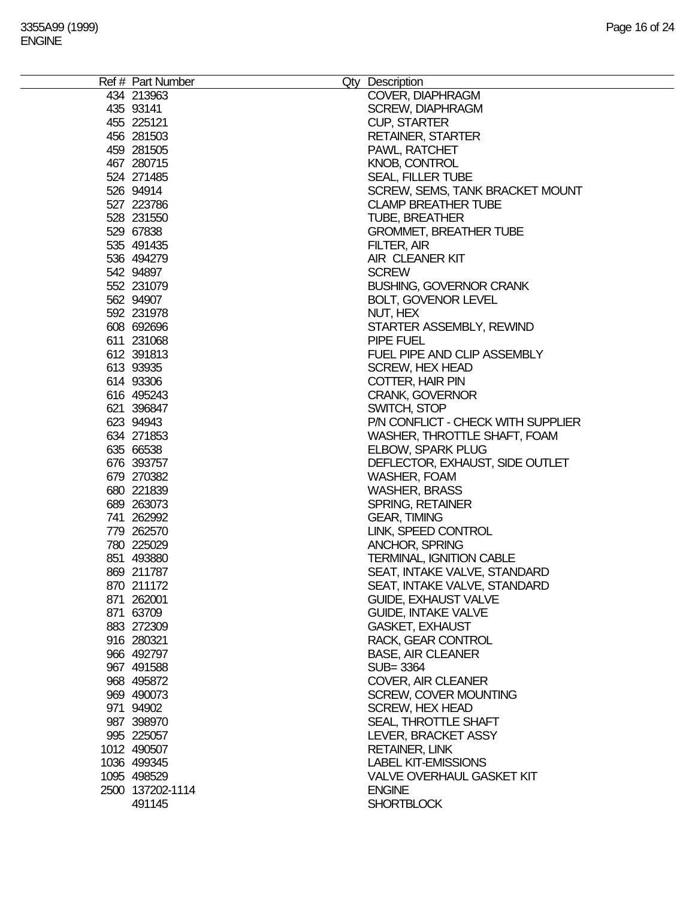| Ref # Part Number | Qty Description                    |
|-------------------|------------------------------------|
| 434 213963        | COVER, DIAPHRAGM                   |
| 435 93141         | <b>SCREW, DIAPHRAGM</b>            |
| 455 225121        | <b>CUP, STARTER</b>                |
| 456 281503        | <b>RETAINER, STARTER</b>           |
| 459 281505        | PAWL, RATCHET                      |
|                   |                                    |
| 467 280715        | <b>KNOB, CONTROL</b>               |
| 524 271485        | <b>SEAL, FILLER TUBE</b>           |
| 526 94914         | SCREW, SEMS, TANK BRACKET MOUNT    |
| 527 223786        | <b>CLAMP BREATHER TUBE</b>         |
| 528 231550        | <b>TUBE, BREATHER</b>              |
| 529 67838         | <b>GROMMET, BREATHER TUBE</b>      |
| 535 491435        | FILTER, AIR                        |
| 536 494279        | AIR CLEANER KIT                    |
| 542 94897         | <b>SCREW</b>                       |
| 552 231079        | <b>BUSHING, GOVERNOR CRANK</b>     |
| 562 94907         | <b>BOLT, GOVENOR LEVEL</b>         |
| 592 231978        | NUT, HEX                           |
| 608 692696        | STARTER ASSEMBLY, REWIND           |
| 611 231068        | PIPE FUEL                          |
| 612 391813        | FUEL PIPE AND CLIP ASSEMBLY        |
| 613 93935         | <b>SCREW, HEX HEAD</b>             |
| 614 93306         | COTTER, HAIR PIN                   |
| 616 495243        | <b>CRANK, GOVERNOR</b>             |
| 621 396847        | SWITCH, STOP                       |
| 623 94943         | P/N CONFLICT - CHECK WITH SUPPLIER |
| 634 271853        | WASHER, THROTTLE SHAFT, FOAM       |
| 635 66538         | ELBOW, SPARK PLUG                  |
| 676 393757        | DEFLECTOR, EXHAUST, SIDE OUTLET    |
| 679 270382        | WASHER, FOAM                       |
| 680 221839        | <b>WASHER, BRASS</b>               |
| 689 263073        | SPRING, RETAINER                   |
| 741 262992        | <b>GEAR, TIMING</b>                |
| 779 262570        | LINK, SPEED CONTROL                |
| 780 225029        | <b>ANCHOR, SPRING</b>              |
| 851 493880        | <b>TERMINAL, IGNITION CABLE</b>    |
| 869 211787        | SEAT, INTAKE VALVE, STANDARD       |
| 870 211172        | SEAT, INTAKE VALVE, STANDARD       |
| 871 262001        | <b>GUIDE, EXHAUST VALVE</b>        |
| 871 63709         | <b>GUIDE, INTAKE VALVE</b>         |
|                   |                                    |
| 883 272309        | <b>GASKET, EXHAUST</b>             |
| 916 280321        | RACK, GEAR CONTROL                 |
| 966 492797        | <b>BASE, AIR CLEANER</b>           |
| 967 491588        | SUB=3364                           |
| 968 495872        | <b>COVER, AIR CLEANER</b>          |
| 969 490073        | <b>SCREW, COVER MOUNTING</b>       |
| 971 94902         | <b>SCREW, HEX HEAD</b>             |
| 987 398970        | SEAL, THROTTLE SHAFT               |
| 995 225057        | LEVER, BRACKET ASSY                |
| 1012 490507       | <b>RETAINER, LINK</b>              |
| 1036 499345       | <b>LABEL KIT-EMISSIONS</b>         |
| 1095 498529       | <b>VALVE OVERHAUL GASKET KIT</b>   |
| 2500 137202-1114  | <b>ENGINE</b>                      |
| 491145            | <b>SHORTBLOCK</b>                  |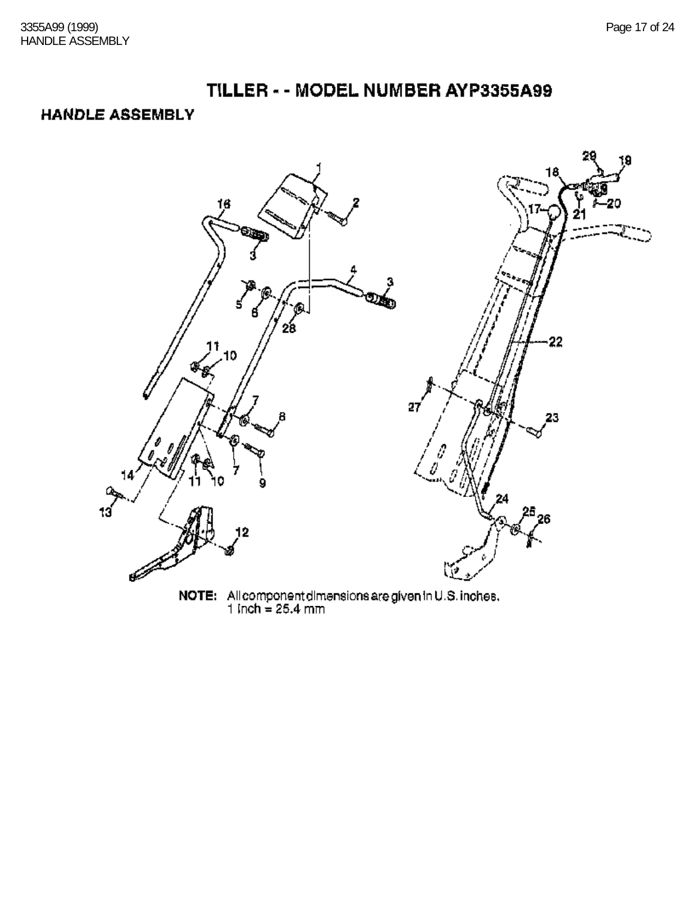### TILLER - - MODEL NUMBER AYP3355A99

#### **HANDLE ASSEMBLY**



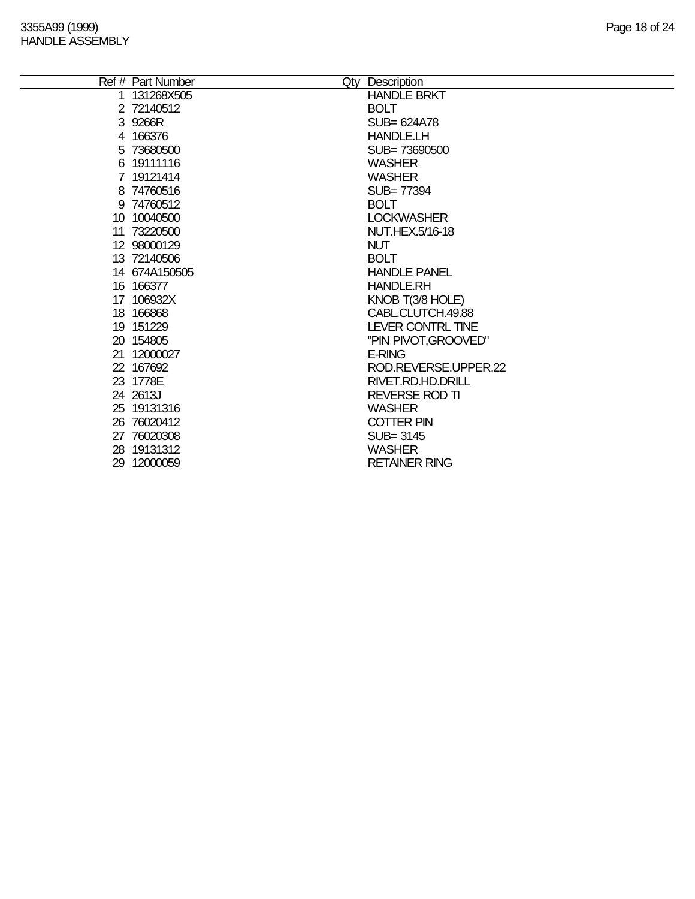÷

|   | Ref # Part Number | Qty Description       |
|---|-------------------|-----------------------|
| 1 | 131268X505        | <b>HANDLE BRKT</b>    |
|   | 2 72140512        | <b>BOLT</b>           |
|   | 3 9266R           | SUB= 624A78           |
|   | 4 166376          | <b>HANDLE.LH</b>      |
|   | 5 73680500        | SUB=73690500          |
|   | 6 19111116        | <b>WASHER</b>         |
|   | 7 19121414        | <b>WASHER</b>         |
|   | 8 74760516        | SUB= 77394            |
|   | 9 74760512        | <b>BOLT</b>           |
|   | 10 10040500       | <b>LOCKWASHER</b>     |
|   | 11 73220500       | NUT.HEX.5/16-18       |
|   | 12 98000129       | <b>NUT</b>            |
|   | 13 72140506       | <b>BOLT</b>           |
|   | 14 674A150505     | <b>HANDLE PANEL</b>   |
|   | 16 16 6377        | <b>HANDLE.RH</b>      |
|   | 17 106932X        | KNOB T(3/8 HOLE)      |
|   | 18 16 6868        | CABL.CLUTCH.49.88     |
|   | 19 151229         | LEVER CONTRL TINE     |
|   | 20 154805         | "PIN PIVOT, GROOVED"  |
|   | 21 12000027       | <b>E-RING</b>         |
|   | 22 167692         | ROD.REVERSE.UPPER.22  |
|   | 23 1778E          | RIVET.RD.HD.DRILL     |
|   | 24 2613J          | <b>REVERSE ROD TI</b> |
|   | 25 19131316       | <b>WASHER</b>         |
|   | 26 76020412       | <b>COTTER PIN</b>     |
|   | 27 76020308       | SUB=3145              |
|   | 28 19131312       | <b>WASHER</b>         |
|   | 29 12000059       | <b>RETAINER RING</b>  |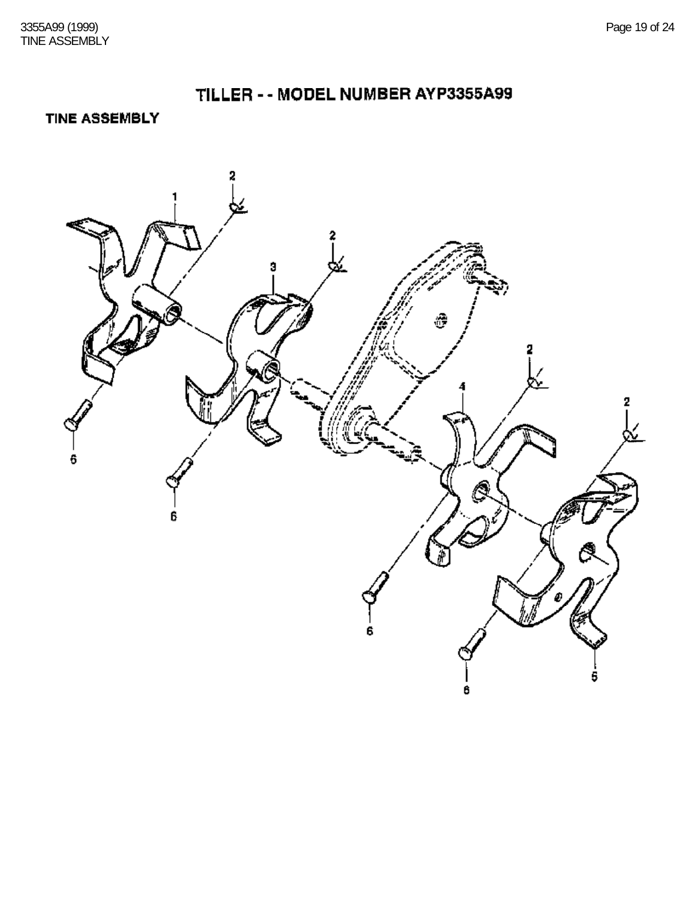**TINE ASSEMBLY** 

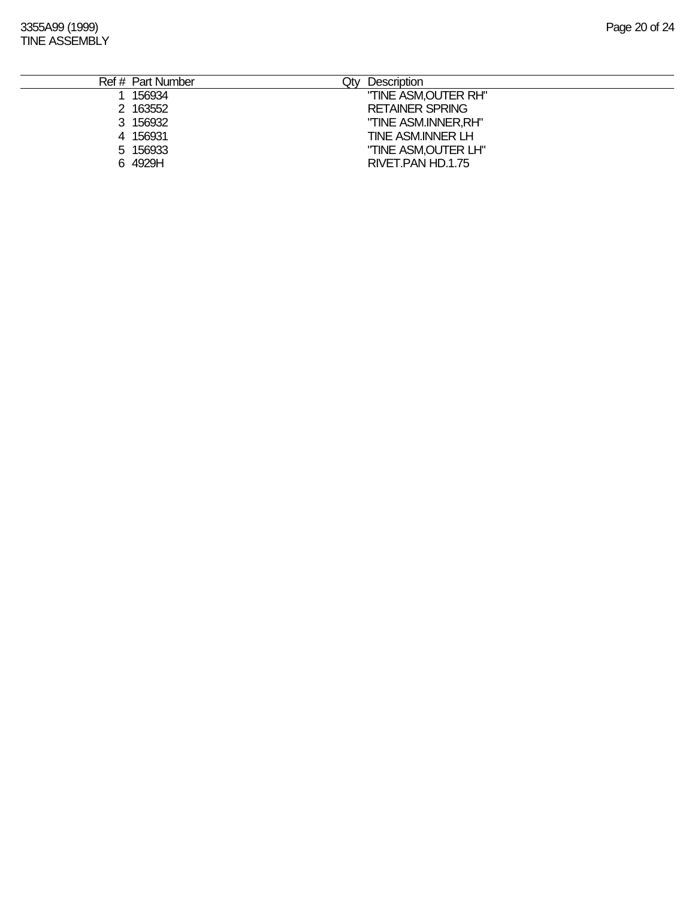3355A99 (1999) Page 20 of 24 TINE ASSEMBLY

| Ref # Part Number | Description<br>Qty     |
|-------------------|------------------------|
| 156934            | "TINE ASM, OUTER RH"   |
| 2 163552          | <b>RETAINER SPRING</b> |
| 3 156932          | "TINE ASM.INNER, RH"   |
| 4 156931          | TINE ASM.INNER LH      |
| 5 156933          | "TINE ASM, OUTER LH"   |
| 6 4929H           | RIVET PAN HD.1.75      |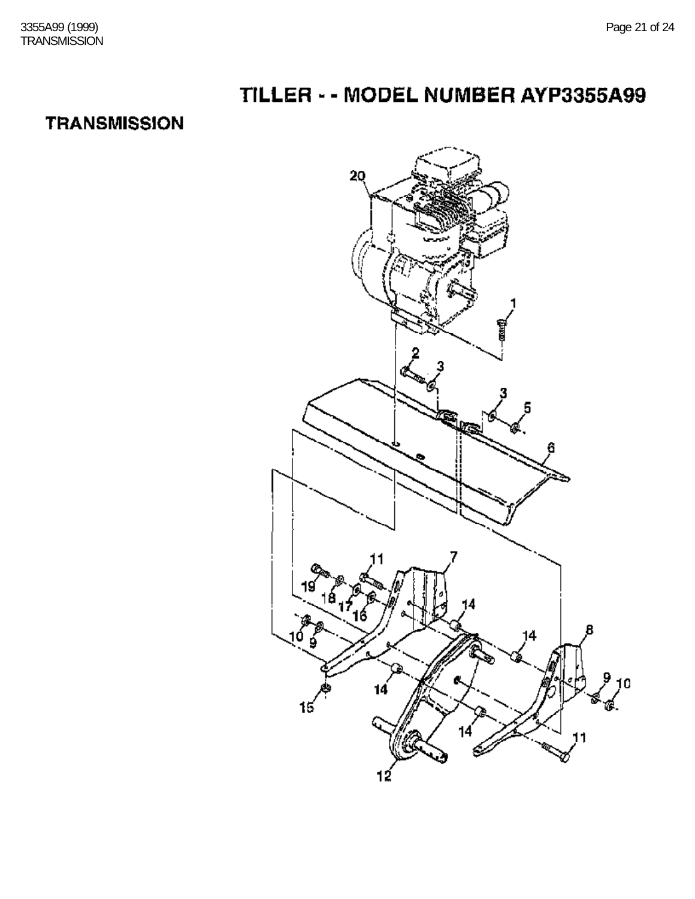# TILLER - - MODEL NUMBER AYP3355A99

## **TRANSMISSION**

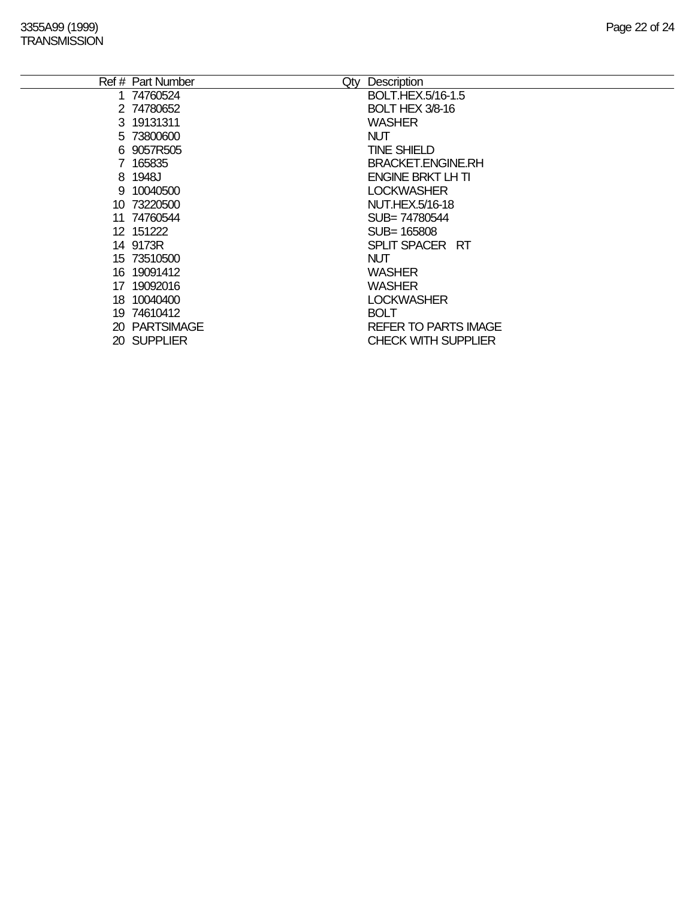|     | Ref # Part Number | Qty | Description                 |
|-----|-------------------|-----|-----------------------------|
|     | 1 74760524        |     | BOLT.HEX.5/16-1.5           |
|     | 2 74780652        |     | <b>BOLT HEX 3/8-16</b>      |
|     | 3 19131311        |     | WASHER                      |
|     | 5 73800600        |     | <b>NUT</b>                  |
|     | 6 9057R505        |     | <b>TINE SHIELD</b>          |
|     | 7 165835          |     | <b>BRACKET.ENGINE.RH</b>    |
|     | 8 1948J           |     | <b>ENGINE BRKT LH TI</b>    |
|     | 9 10040500        |     | <b>LOCKWASHER</b>           |
|     | 10 73220500       |     | <b>NUT.HEX.5/16-18</b>      |
| 11  | 74760544          |     | SUB= 74780544               |
|     | 12 151222         |     | SUB= 165808                 |
|     | 14 9173R          |     | SPLIT SPACER RT             |
|     | 15 73510500       |     | <b>NUT</b>                  |
|     | 16 19091412       |     | <b>WASHER</b>               |
| 17  | 19092016          |     | <b>WASHER</b>               |
| 18. | 10040400          |     | <b>LOCKWASHER</b>           |
|     | 19 74610412       |     | <b>BOLT</b>                 |
|     | 20 PARTSIMAGE     |     | <b>REFER TO PARTS IMAGE</b> |
|     | 20 SUPPLIER       |     | <b>CHECK WITH SUPPLIER</b>  |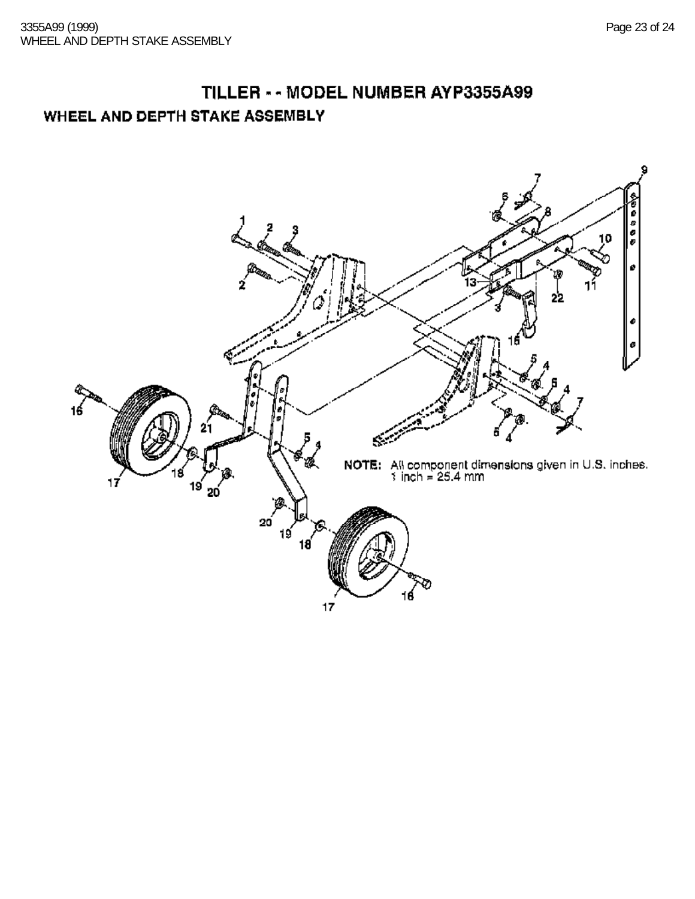## TILLER - - MODEL NUMBER AYP3355A99 WHEEL AND DEPTH STAKE ASSEMBLY